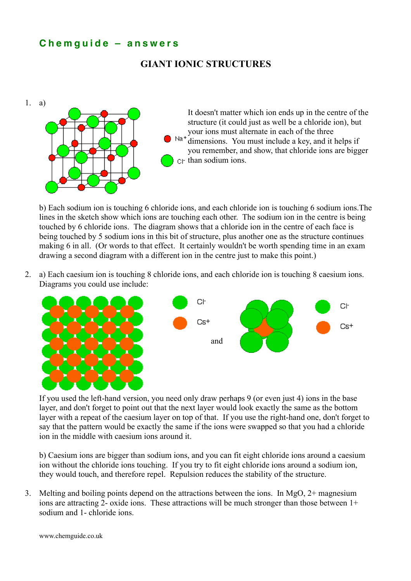## **C h e m g u i d e – a n s w e r s**

## **GIANT IONIC STRUCTURES**



b) Each sodium ion is touching 6 chloride ions, and each chloride ion is touching 6 sodium ions.The lines in the sketch show which ions are touching each other. The sodium ion in the centre is being touched by 6 chloride ions. The diagram shows that a chloride ion in the centre of each face is being touched by 5 sodium ions in this bit of structure, plus another one as the structure continues making 6 in all. (Or words to that effect. It certainly wouldn't be worth spending time in an exam drawing a second diagram with a different ion in the centre just to make this point.)

2. a) Each caesium ion is touching 8 chloride ions, and each chloride ion is touching 8 caesium ions. Diagrams you could use include:





If you used the left-hand version, you need only draw perhaps 9 (or even just 4) ions in the base layer, and don't forget to point out that the next layer would look exactly the same as the bottom layer with a repeat of the caesium layer on top of that. If you use the right-hand one, don't forget to say that the pattern would be exactly the same if the ions were swapped so that you had a chloride ion in the middle with caesium ions around it.

b) Caesium ions are bigger than sodium ions, and you can fit eight chloride ions around a caesium ion without the chloride ions touching. If you try to fit eight chloride ions around a sodium ion, they would touch, and therefore repel. Repulsion reduces the stability of the structure.

3. Melting and boiling points depend on the attractions between the ions. In MgO, 2+ magnesium ions are attracting 2- oxide ions. These attractions will be much stronger than those between 1+ sodium and 1- chloride ions.

www.chemguide.co.uk